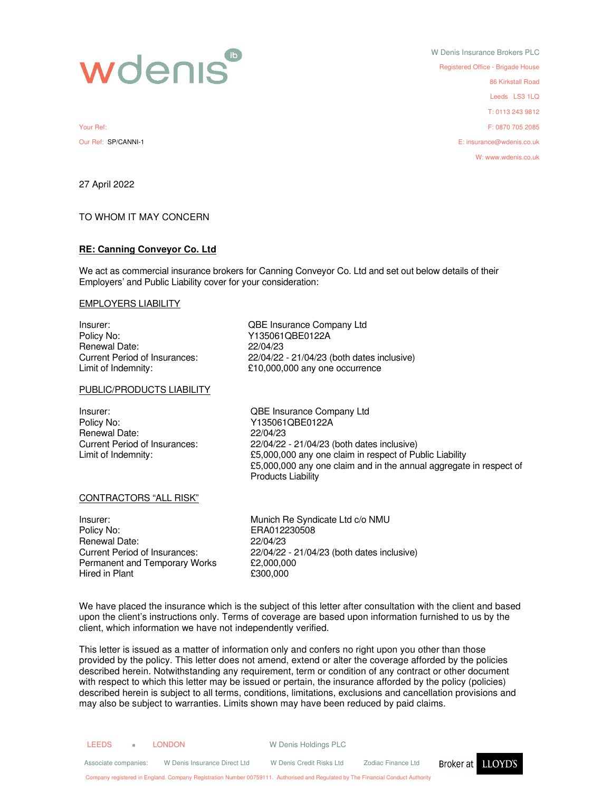

W Denis Insurance Brokers PLC Registered Office - Brigade House 86 Kirkstall Road Leeds LS3 1LQ T: 0113 243 9812 Your Ref: F: 0870 705 2085 Our Ref: SP/CANNI-1 E: insurance@wdenis.co.uk W: www.wdenis.co.uk

27 April 2022

# TO WHOM IT MAY CONCERN

#### **RE: Canning Conveyor Co. Ltd**

We act as commercial insurance brokers for Canning Conveyor Co. Ltd and set out below details of their Employers' and Public Liability cover for your consideration:

#### EMPLOYERS LIABILITY

Insurer: QBE Insurance Company Ltd Policy No: <br>
Policy No: Y135061QBE0122A<br>
Renewal Date: 22/04/23 Renewal Date:<br>Current Period of Insurances:

# PUBLIC/PRODUCTS LIABILITY

Insurer: QBE Insurance Company Ltd Policy No: Y135061QBE0122A Renewal Date: 22/04/23

22/04/22 - 21/04/23 (both dates inclusive) Limit of Indemnity:  $£10,000,000$  any one occurrence

Current Period of Insurances: 22/04/22 - 21/04/23 (both dates inclusive) Limit of Indemnity:  $£5,000,000$  any one claim in respect of Public Liability £5,000,000 any one claim and in the annual aggregate in respect of Products Liability

#### CONTRACTORS "ALL RISK"

Insurer: Munich Re Syndicate Ltd c/o NMU Policy No: ERA012230508 Renewal Date: 22/04/23 Permanent and Temporary Works £2,000,000<br>Hired in Plant £300.000 Hired in Plant

Current Period of Insurances: 22/04/22 - 21/04/23 (both dates inclusive)

We have placed the insurance which is the subject of this letter after consultation with the client and based upon the client's instructions only. Terms of coverage are based upon information furnished to us by the client, which information we have not independently verified.

This letter is issued as a matter of information only and confers no right upon you other than those provided by the policy. This letter does not amend, extend or alter the coverage afforded by the policies described herein. Notwithstanding any requirement, term or condition of any contract or other document with respect to which this letter may be issued or pertain, the insurance afforded by the policy (policies) described herein is subject to all terms, conditions, limitations, exclusions and cancellation provisions and may also be subject to warranties. Limits shown may have been reduced by paid claims.

| <b>LEEDS</b>                                                                                                                     | m. | LONDON                       | W Denis Holdings PLC     |                    |                          |
|----------------------------------------------------------------------------------------------------------------------------------|----|------------------------------|--------------------------|--------------------|--------------------------|
| Associate companies:                                                                                                             |    | W Denis Insurance Direct Ltd | W Denis Credit Risks Ltd | Zodiac Finance Ltd | Broker at <b>LLOYD'S</b> |
| Company registered in England. Company Registration Number 00759111. Authorised and Regulated by The Financial Conduct Authority |    |                              |                          |                    |                          |